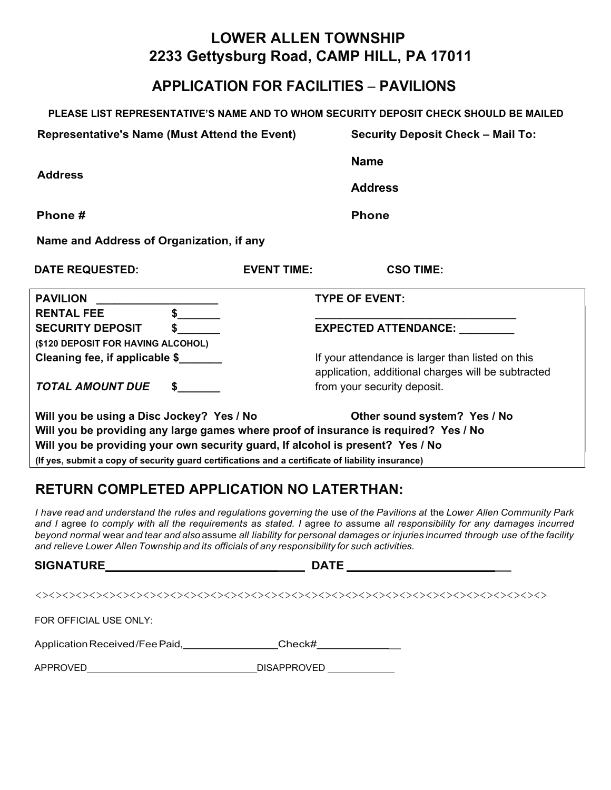#### LOWER ALLEN TOWNSHIP 2233 Gettysburg Road, CAMP HILL, PA 17011

### APPLICATION FOR FACILITIES – PAVILIONS

| PLEASE LIST REPRESENTATIVE'S NAME AND TO WHOM SECURITY DEPOSIT CHECK SHOULD BE MAILED |  |
|---------------------------------------------------------------------------------------|--|
|---------------------------------------------------------------------------------------|--|

| <b>Representative's Name (Must Attend the Event)</b>                                 |                    | <b>Security Deposit Check - Mail To:</b>           |
|--------------------------------------------------------------------------------------|--------------------|----------------------------------------------------|
|                                                                                      |                    | <b>Name</b>                                        |
| <b>Address</b>                                                                       |                    | <b>Address</b>                                     |
| Phone#                                                                               |                    | <b>Phone</b>                                       |
| Name and Address of Organization, if any                                             |                    |                                                    |
| <b>DATE REQUESTED:</b>                                                               | <b>EVENT TIME:</b> | <b>CSO TIME:</b>                                   |
| <b>PAVILION</b>                                                                      |                    | <b>TYPE OF EVENT:</b>                              |
| <b>RENTAL FEE</b>                                                                    |                    |                                                    |
| <b>SECURITY DEPOSIT</b>                                                              |                    | EXPECTED ATTENDANCE:                               |
| (\$120 DEPOSIT FOR HAVING ALCOHOL)                                                   |                    |                                                    |
| Cleaning fee, if applicable \$                                                       |                    | If your attendance is larger than listed on this   |
|                                                                                      |                    | application, additional charges will be subtracted |
| <b>TOTAL AMOUNT DUE</b>                                                              |                    | from your security deposit.                        |
| Will you be using a Disc Jockey? Yes / No                                            |                    | Other sound system? Yes / No                       |
| Will you be providing any large games where proof of insurance is required? Yes / No |                    |                                                    |

Will you be providing your own security guard, If alcohol is present? Yes / No

(If yes, submit a copy of security guard certifications and a certificate of liability insurance)

### RETURN COMPLETED APPLICATION NO LATER THAN:

I have read and understand the rules and regulations governing the use of the Pavilions at the Lower Allen Community Park and I agree to comply with all the requirements as stated. I agree to assume all responsibility for any damages incurred beyond normal wear and tear and also assume all liability for personal damages or injuries incurred through use of the facility and relieve Lower Allen Township and its officials of any responsibility for such activities.

| and relieve Lower Allen Township and its unicials of any responsibility for such activities. |                                 |  |  |
|----------------------------------------------------------------------------------------------|---------------------------------|--|--|
| SIGNATURE                                                                                    | DATE __________________________ |  |  |
|                                                                                              |                                 |  |  |
| FOR OFFICIAL USE ONLY:                                                                       |                                 |  |  |
| Application Received/Fee Paid,                                                               | Check#_______________           |  |  |
| <b>APPROVED</b>                                                                              | <b>DISAPPROVED</b>              |  |  |
|                                                                                              |                                 |  |  |